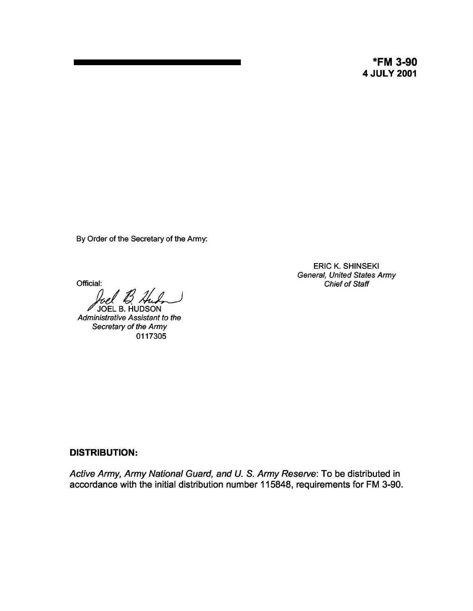**\*FM 3-90 4 JULY 2001**

By Order of the Secretary of the Army:

Official:

*M* JOEL B. HUDSON<br>Administrative Assistant to the Secretary of the Army 0117305

ERIC K. SHINSEKI General, United States Army Chief of Staff

## **DISTRIBUTION:**

Active Army, Army National Guard, and U. S. Army Reserve: To be distributed in accordance with the initial distribution number 115848, requirements for FM 3-90.